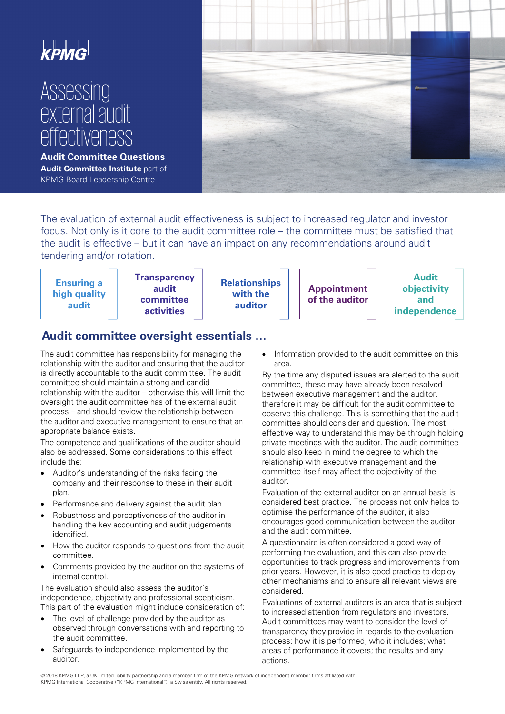

# **Assessing** external audit effectiveness

**Audit Committee Questions Audit Committee Institute** part of KPMG Board Leadership Centre



The evaluation of external audit effectiveness is subject to increased regulator and investor focus. Not only is it core to the audit committee role – the committee must be satisfied that the audit is effective – but it can have an impact on any recommendations around audit tendering and/or rotation.



## **Audit committee oversight essentials …**

The audit committee has responsibility for managing the relationship with the auditor and ensuring that the auditor is directly accountable to the audit committee. The audit committee should maintain a strong and candid relationship with the auditor – otherwise this will limit the oversight the audit committee has of the external audit process – and should review the relationship between the auditor and executive management to ensure that an appropriate balance exists.

The competence and qualifications of the auditor should also be addressed. Some considerations to this effect include the:

- Auditor's understanding of the risks facing the company and their response to these in their audit plan.
- Performance and delivery against the audit plan.
- Robustness and perceptiveness of the auditor in handling the key accounting and audit judgements identified.
- How the auditor responds to questions from the audit committee.
- Comments provided by the auditor on the systems of internal control.

The evaluation should also assess the auditor's independence, objectivity and professional scepticism. This part of the evaluation might include consideration of:

- The level of challenge provided by the auditor as observed through conversations with and reporting to the audit committee.
- Safeguards to independence implemented by the auditor.

Information provided to the audit committee on this area.

By the time any disputed issues are alerted to the audit committee, these may have already been resolved between executive management and the auditor, therefore it may be difficult for the audit committee to observe this challenge. This is something that the audit committee should consider and question. The most effective way to understand this may be through holding private meetings with the auditor. The audit committee should also keep in mind the degree to which the relationship with executive management and the committee itself may affect the objectivity of the auditor.

Evaluation of the external auditor on an annual basis is considered best practice. The process not only helps to optimise the performance of the auditor, it also encourages good communication between the auditor and the audit committee.

A questionnaire is often considered a good way of performing the evaluation, and this can also provide opportunities to track progress and improvements from prior years. However, it is also good practice to deploy other mechanisms and to ensure all relevant views are considered.

Evaluations of external auditors is an area that is subject to increased attention from regulators and investors. Audit committees may want to consider the level of transparency they provide in regards to the evaluation process: how it is performed; who it includes; what areas of performance it covers; the results and any actions.

 © 2018 KPMG LLP, a UK limited liability partnership and a member firm of the KPMG network of independent member firms affiliated with KPMG International Cooperative ("KPMG International"), a Swiss entity. All rights reserved.